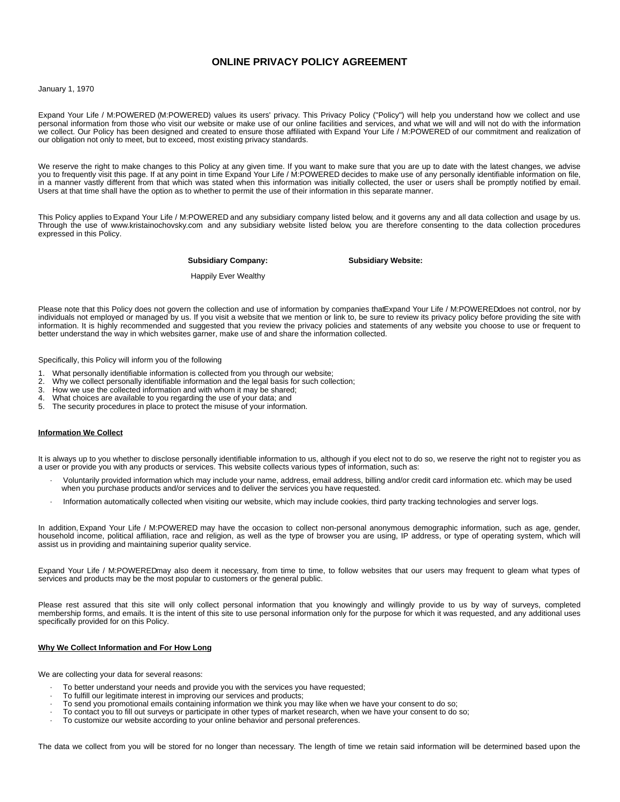# **ONLINE PRIVACY POLICY AGREEMENT**

#### January 1, 1970

Expand Your Life / M:POWERED (M:POWERED) values its users' privacy. This Privacy Policy ("Policy") will help you understand how we collect and use personal information from those who visit our website or make use of our online facilities and services, and what we will and will not do with the information we collect. Our Policy has been designed and created to ensure those affiliated with Expand Your Life / M:POWERED of our commitment and realization of our obligation not only to meet, but to exceed, most existing privacy standards.

We reserve the right to make changes to this Policy at any given time. If you want to make sure that you are up to date with the latest changes, we advise you to frequently visit this page. If at any point in time Expand Your Life / M:POWERED decides to make use of any personally identifiable information on file, in a manner vastly different from that which was stated when this information was initially collected, the user or users shall be promptly notified by email. Users at that time shall have the option as to whether to permit the use of their information in this separate manner.

This Policy applies to Expand Your Life / M:POWERED and any subsidiary company listed below, and it governs any and all data collection and usage by us. Through the use of www.kristainochovsky.com and any subsidiary website listed below, you are therefore consenting to the data collection procedures expressed in this Policy.

**Subsidiary Company: Subsidiary Website:**

Happily Ever Wealthy

Please note that this Policy does not govern the collection and use of information by companies that Expand Your Life / M:POWEREDdoes not control, nor by individuals not employed or managed by us. If you visit a website that we mention or link to, be sure to review its privacy policy before providing the site with information. It is highly recommended and suggested that you review the privacy policies and statements of any website you choose to use or frequent to better understand the way in which websites garner, make use of and share the information collected.

Specifically, this Policy will inform you of the following

- 1. What personally identifiable information is collected from you through our website;<br>2. Why we collect personally identifiable information and the legal basis for such colle
- 2. Why we collect personally identifiable information and the legal basis for such collection;
- 3. How we use the collected information and with whom it may be shared;<br>4. What choices are available to you regarding the use of your data; and
- 4. What choices are available to you regarding the use of your data; and 5. The security procedures in place to protect the misuse of your informa
- The security procedures in place to protect the misuse of your information.

# **Information We Collect**

It is always up to you whether to disclose personally identifiable information to us, although if you elect not to do so, we reserve the right not to register you as a user or provide you with any products or services. This website collects various types of information, such as:

- · Voluntarily provided information which may include your name, address, email address, billing and/or credit card information etc. which may be used when you purchase products and/or services and to deliver the services you have requested.
- · Information automatically collected when visiting our website, which may include cookies, third party tracking technologies and server logs.

In addition, Expand Your Life / M:POWERED may have the occasion to collect non-personal anonymous demographic information, such as age, gender, household income, political affiliation, race and religion, as well as the type of browser you are using, IP address, or type of operating system, which will assist us in providing and maintaining superior quality service.

Expand Your Life / M:POWEREDmay also deem it necessary, from time to time, to follow websites that our users may frequent to gleam what types of services and products may be the most popular to customers or the general public.

Please rest assured that this site will only collect personal information that you knowingly and willingly provide to us by way of surveys, completed membership forms, and emails. It is the intent of this site to use personal information only for the purpose for which it was requested, and any additional uses specifically provided for on this Policy.

#### **Why We Collect Information and For How Long**

We are collecting your data for several reasons:

- To better understand your needs and provide you with the services you have requested;
- · To fulfill our legitimate interest in improving our services and products;
- · To send you promotional emails containing information we think you may like when we have your consent to do so;
- · To contact you to fill out surveys or participate in other types of market research, when we have your consent to do so;
- · To customize our website according to your online behavior and personal preferences.

The data we collect from you will be stored for no longer than necessary. The length of time we retain said information will be determined based upon the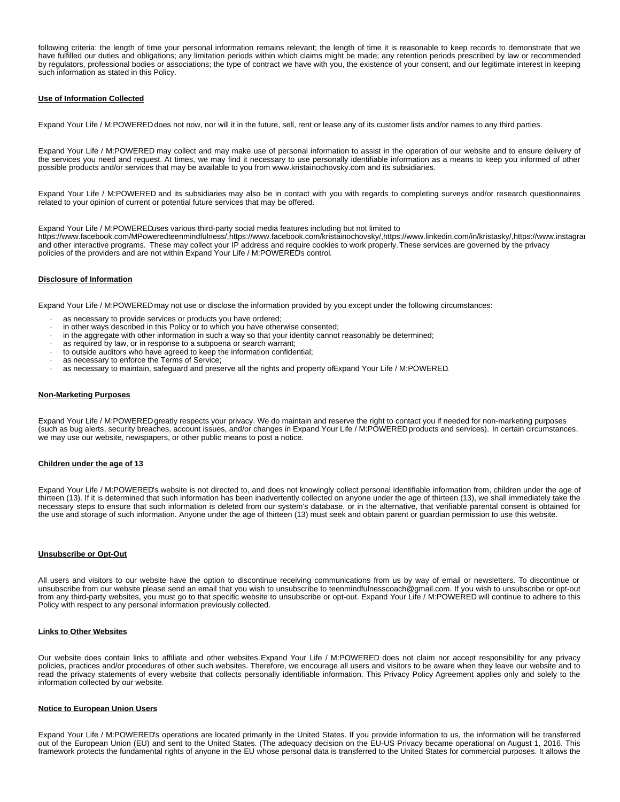following criteria: the length of time your personal information remains relevant; the length of time it is reasonable to keep records to demonstrate that we have fulfilled our duties and obligations; any limitation periods within which claims might be made; any retention periods prescribed by law or recommended by regulators, professional bodies or associations; the type of contract we have with you, the existence of your consent, and our legitimate interest in keeping such information as stated in this Policy.

# **Use of Information Collected**

Expand Your Life / M:POWERED does not now, nor will it in the future, sell, rent or lease any of its customer lists and/or names to any third parties.

Expand Your Life / M:POWERED may collect and may make use of personal information to assist in the operation of our website and to ensure delivery of the services you need and request. At times, we may find it necessary to use personally identifiable information as a means to keep you informed of other possible products and/or services that may be available to you from www.kristainochovsky.com and its subsidiaries.

Expand Your Life / M:POWERED and its subsidiaries may also be in contact with you with regards to completing surveys and/or research questionnaires related to your opinion of current or potential future services that may be offered.

Expand Your Life / M:POWEREDuses various third-party social media features including but not limited to

https://www.facebook.com/MPoweredteenmindfulness/,https://www.facebook.com/kristainochovsky/,https://www.linkedin.com/in/kristasky/,https://www.instagram and other interactive programs. These may collect your IP address and require cookies to work properly. These services are governed by the privacy policies of the providers and are not within Expand Your Life / M:POWERED's control.

#### **Disclosure of Information**

Expand Your Life / M:POWERED may not use or disclose the information provided by you except under the following circumstances:

- as necessary to provide services or products you have ordered;
- in other ways described in this Policy or to which you have otherwise consented;
- · in the aggregate with other information in such a way so that your identity cannot reasonably be determined;
- as required by law, or in response to a subpoena or search warrant;
- to outside auditors who have agreed to keep the information confidential;
- as necessary to enforce the Terms of Service;
- as necessary to maintain, safeguard and preserve all the rights and property of Expand Your Life / M:POWERED.

#### **Non-Marketing Purposes**

Expand Your Life / M:POWERED greatly respects your privacy. We do maintain and reserve the right to contact you if needed for non-marketing purposes (such as bug alerts, security breaches, account issues, and/or changes in Expand Your Life / M:POWERED products and services). In certain circumstances, we may use our website, newspapers, or other public means to post a notice.

### **Children under the age of 13**

Expand Your Life / M:POWERED's website is not directed to, and does not knowingly collect personal identifiable information from, children under the age of thirteen (13). If it is determined that such information has been inadvertently collected on anyone under the age of thirteen (13), we shall immediately take the necessary steps to ensure that such information is deleted from our system's database, or in the alternative, that verifiable parental consent is obtained for the use and storage of such information. Anyone under the age of thirteen (13) must seek and obtain parent or guardian permission to use this website.

#### **Unsubscribe or Opt-Out**

All users and visitors to our website have the option to discontinue receiving communications from us by way of email or newsletters. To discontinue or unsubscribe from our website please send an email that you wish to unsubscribe to teenmindfulnesscoach@gmail.com. If you wish to unsubscribe or opt-out from any third-party websites, you must go to that specific website to unsubscribe or opt-out. Expand Your Life / M:POWERED will continue to adhere to this Policy with respect to any personal information previously collected.

# **Links to Other Websites**

Our website does contain links to affiliate and other websites. Expand Your Life / M:POWERED does not claim nor accept responsibility for any privacy policies, practices and/or procedures of other such websites. Therefore, we encourage all users and visitors to be aware when they leave our website and to read the privacy statements of every website that collects personally identifiable information. This Privacy Policy Agreement applies only and solely to the information collected by our website.

#### **Notice to European Union Users**

Expand Your Life / M:POWERED's operations are located primarily in the United States. If you provide information to us, the information will be transferred out of the European Union (EU) and sent to the United States. (The adequacy decision on the EU-US Privacy became operational on August 1, 2016. This framework protects the fundamental rights of anyone in the EU whose personal data is transferred to the United States for commercial purposes. It allows the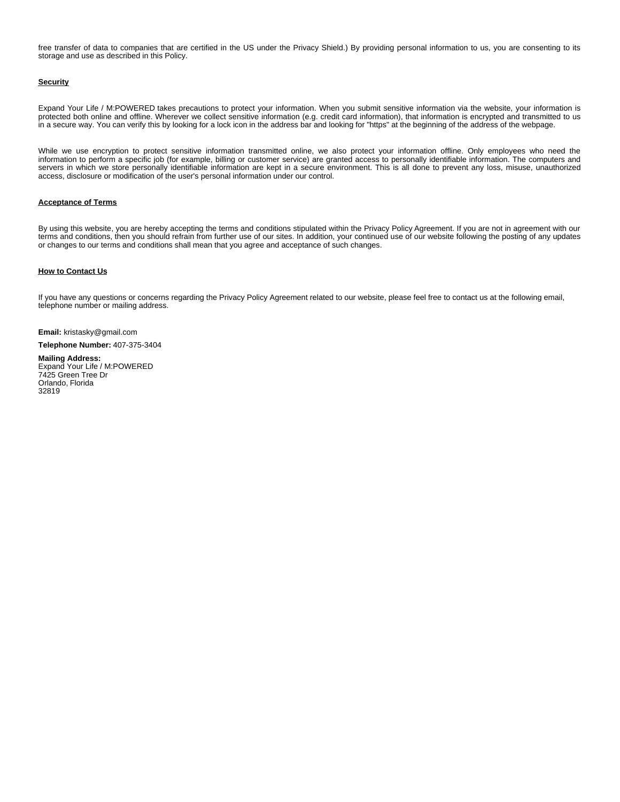free transfer of data to companies that are certified in the US under the Privacy Shield.) By providing personal information to us, you are consenting to its storage and use as described in this Policy.

# **Security**

Expand Your Life / M:POWERED takes precautions to protect your information. When you submit sensitive information via the website, your information is protected both online and offline. Wherever we collect sensitive information (e.g. credit card information), that information is encrypted and transmitted to us in a secure way. You can verify this by looking for a lock icon in the address bar and looking for "https" at the beginning of the address of the webpage.

While we use encryption to protect sensitive information transmitted online, we also protect your information offline. Only employees who need the information to perform a specific job (for example, billing or customer service) are granted access to personally identifiable information. The computers and servers in which we store personally identifiable information are kept in a secure environment. This is all done to prevent any loss, misuse, unauthorized access, disclosure or modification of the user's personal information under our control.

## **Acceptance of Terms**

By using this website, you are hereby accepting the terms and conditions stipulated within the Privacy Policy Agreement. If you are not in agreement with our terms and conditions, then you should refrain from further use of our sites. In addition, your continued use of our website following the posting of any updates or changes to our terms and conditions shall mean that you agree and acceptance of such changes.

# **How to Contact Us**

If you have any questions or concerns regarding the Privacy Policy Agreement related to our website, please feel free to contact us at the following email, telephone number or mailing address.

**Email:** kristasky@gmail.com

# **Telephone Number:** 407-375-3404

# **Mailing Address:**

Expand Your Life / M:POWERED 7425 Green Tree Dr Orlando, Florida 32819